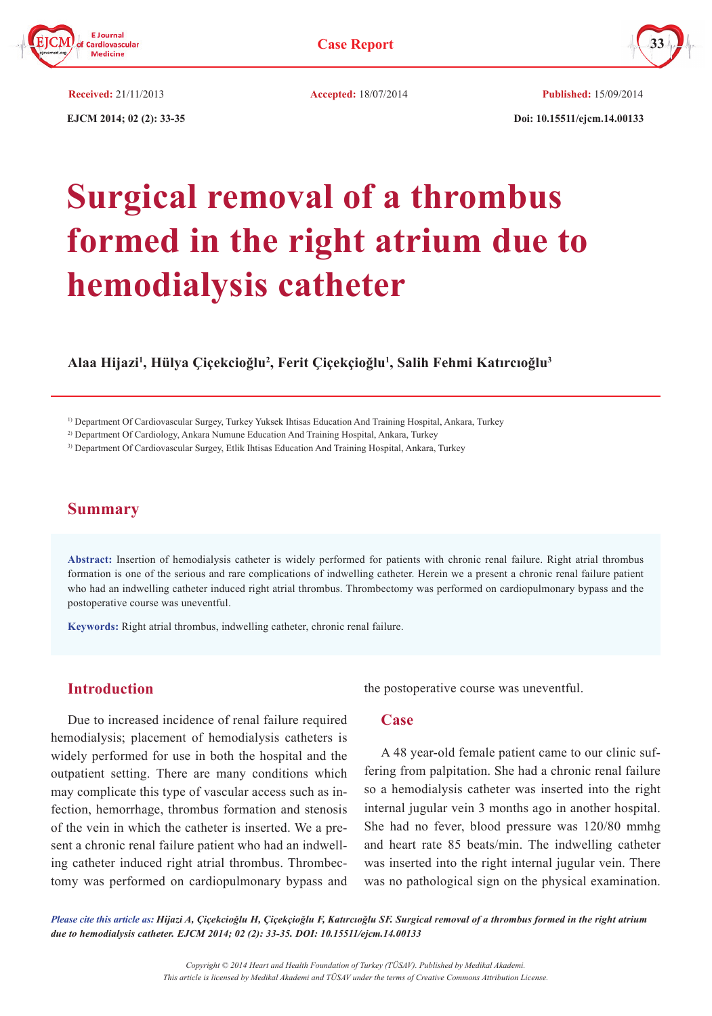



 **EJCM 2014; 02 (2): 33-35 Doi: 10.15511/ejcm.14.00133**

**Received:** 21/11/2013 **Accepted:** 18/07/2014 **Published:** 15/09/2014

# **Surgical removal of a thrombus formed in the right atrium due to hemodialysis catheter**

**Alaa Hijazi1 , Hülya Çiçekcioğlu<sup>2</sup> , Ferit Çiçekçioğlu<sup>1</sup> , Salih Fehmi Katırcıoğlu<sup>3</sup>**

1) Department Of Cardiovascular Surgey, Turkey Yuksek Ihtisas Education And Training Hospital, Ankara, Turkey

2) Department Of Cardiology, Ankara Numune Education And Training Hospital, Ankara, Turkey

3) Department Of Cardiovascular Surgey, Etlik Ihtisas Education And Training Hospital, Ankara, Turkey

## **Summary**

**Abstract:** Insertion of hemodialysis catheter is widely performed for patients with chronic renal failure. Right atrial thrombus formation is one of the serious and rare complications of indwelling catheter. Herein we a present a chronic renal failure patient who had an indwelling catheter induced right atrial thrombus. Thrombectomy was performed on cardiopulmonary bypass and the postoperative course was uneventful.

**Keywords:** Right atrial thrombus, indwelling catheter, chronic renal failure.

#### **Introduction**

Due to increased incidence of renal failure required hemodialysis; placement of hemodialysis catheters is widely performed for use in both the hospital and the outpatient setting. There are many conditions which may complicate this type of vascular access such as infection, hemorrhage, thrombus formation and stenosis of the vein in which the catheter is inserted. We a present a chronic renal failure patient who had an indwelling catheter induced right atrial thrombus. Thrombectomy was performed on cardiopulmonary bypass and the postoperative course was uneventful.

#### **Case**

A 48 year-old female patient came to our clinic suffering from palpitation. She had a chronic renal failure so a hemodialysis catheter was inserted into the right internal jugular vein 3 months ago in another hospital. She had no fever, blood pressure was 120/80 mmhg and heart rate 85 beats/min. The indwelling catheter was inserted into the right internal jugular vein. There was no pathological sign on the physical examination.

*Please cite this article as: Hijazi A, Çiçekcioğlu H, Çiçekçioğlu F, Katırcıoğlu SF. Surgical removal of a thrombus formed in the right atrium due to hemodialysis catheter. EJCM 2014; 02 (2): 33-35. DOI: 10.15511/ejcm.14.00133*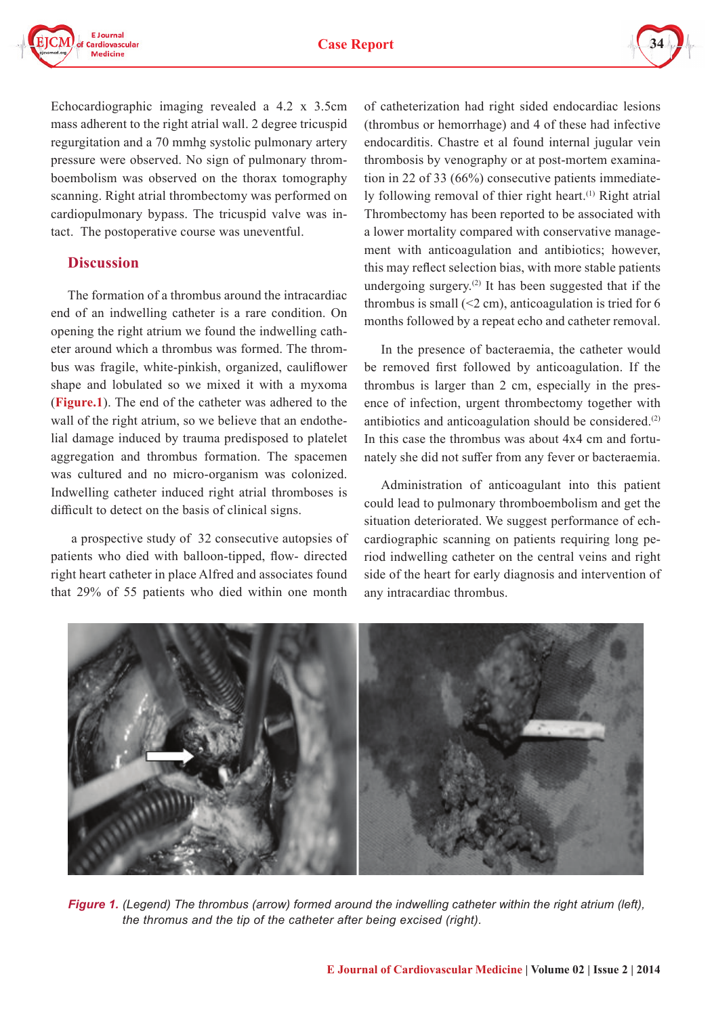



Echocardiographic imaging revealed a 4.2 x 3.5cm mass adherent to the right atrial wall. 2 degree tricuspid regurgitation and a 70 mmhg systolic pulmonary artery pressure were observed. No sign of pulmonary thromboembolism was observed on the thorax tomography scanning. Right atrial thrombectomy was performed on cardiopulmonary bypass. The tricuspid valve was intact. The postoperative course was uneventful.

#### **Discussion**

The formation of a thrombus around the intracardiac end of an indwelling catheter is a rare condition. On opening the right atrium we found the indwelling catheter around which a thrombus was formed. The thrombus was fragile, white-pinkish, organized, cauliflower shape and lobulated so we mixed it with a myxoma (**Figure.1**). The end of the catheter was adhered to the wall of the right atrium, so we believe that an endothelial damage induced by trauma predisposed to platelet aggregation and thrombus formation. The spacemen was cultured and no micro-organism was colonized. Indwelling catheter induced right atrial thromboses is difficult to detect on the basis of clinical signs.

 a prospective study of 32 consecutive autopsies of patients who died with balloon-tipped, flow- directed right heart catheter in place Alfred and associates found that 29% of 55 patients who died within one month

of catheterization had right sided endocardiac lesions (thrombus or hemorrhage) and 4 of these had infective endocarditis. Chastre et al found internal jugular vein thrombosis by venography or at post-mortem examination in 22 of 33 (66%) consecutive patients immediately following removal of thier right heart.<sup>(1)</sup> Right atrial Thrombectomy has been reported to be associated with a lower mortality compared with conservative management with anticoagulation and antibiotics; however, this may reflect selection bias, with more stable patients undergoing surgery.<sup>(2)</sup> It has been suggested that if the thrombus is small  $(\leq 2$  cm), anticoagulation is tried for 6 months followed by a repeat echo and catheter removal.

In the presence of bacteraemia, the catheter would be removed first followed by anticoagulation. If the thrombus is larger than 2 cm, especially in the presence of infection, urgent thrombectomy together with antibiotics and anticoagulation should be considered.(2) In this case the thrombus was about 4x4 cm and fortunately she did not suffer from any fever or bacteraemia.

Administration of anticoagulant into this patient could lead to pulmonary thromboembolism and get the situation deteriorated. We suggest performance of echcardiographic scanning on patients requiring long period indwelling catheter on the central veins and right side of the heart for early diagnosis and intervention of any intracardiac thrombus.



 *Figure 1. (Legend) The thrombus (arrow) formed around the indwelling catheter within the right atrium (left), the thromus and the tip of the catheter after being excised (right).*